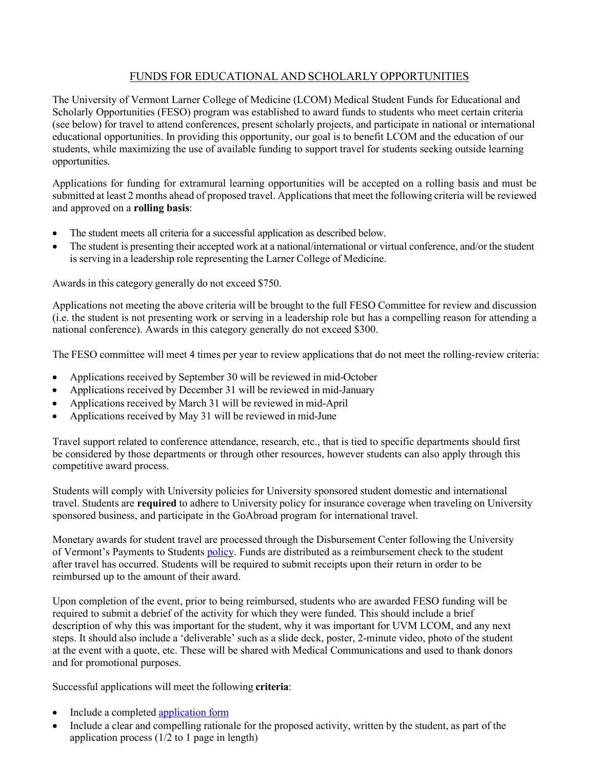## FUNDS FOR EDUCATIONAL AND SCHOLARLY OPPORTUNITIES

The University of Vermont Larner College of Medicine (LCOM) Medical Student Funds for Educational and Scholarly Opportunities (FESO) program was established to award funds to students who meet certain criteria (see below) for travel to attend conferences, present scholarly projects, and participate in national or international educational opportunities. In providing this opportunity, our goal is to benefit LCOM and the education of our students, while maximizing the use of available funding to support travel for students seeking outside learning opportunities.

Applications for funding for extramural learning opportunities will be accepted on a rolling basis and must be submitted at least 2 months ahead of proposed travel. Applications that meet the following criteria will be reviewed and approved on a **rolling basis**:

- The student meets all criteria for a successful application as described below.
- The student is presenting their accepted work at a national/international or virtual conference, and/or the student is serving in a leadership role representing the Larner College of Medicine.

Awards in this category generally do not exceed \$750.

Applications not meeting the above criteria will be brought to the full FESO Committee for review and discussion (i.e. the student is not presenting work or serving in a leadership role but has a compelling reason for attending a national conference). Awards in this category generally do not exceed \$300.

The FESO committee will meet 4 times per year to review applications that do not meet the rolling-review criteria:

- Applications received by September 30 will be reviewed in mid-October
- Applications received by December 31 will be reviewed in mid-January
- Applications received by March 31 will be reviewed in mid-April
- Applications received by May 31 will be reviewed in mid-June

Travel support related to conference attendance, research, etc., that is tied to specific departments should first be considered by those departments or through other resources, however students can also apply through this competitive award process.

Students will comply with University policies for University sponsored student domestic and international travel. Students are **required** to adhere to University policy for insurance coverage when traveling on University sponsored business, and participate in the GoAbroad program for international travel.

Monetary awards for student travel are processed through the Disbursement Center following the University of Vermont's Payments to Students [policy. F](https://www.uvm.edu/sites/default/files/UVM-Policies/policies/payments2stu.pdf)unds are distributed as a reimbursement check to the student after travel has occurred. Students will be required to submit receipts upon their return in order to be reimbursed up to the amount of their award.

Upon completion of the event, prior to being reimbursed, students who are awarded FESO funding will be required to submit a debrief of the activity for which they were funded. This should include a brief description of why this was important for the student, why it was important for UVM LCOM, and any next steps. It should also include a 'deliverable' such as a slide deck, poster, 2-minute video, photo of the student at the event with a quote, etc. These will be shared with Medical Communications and used to thank donors and for promotional purposes.

Successful applications will meet the following **criteria**:

- Include a completed [application](http://contentmanager.med.uvm.edu/docs/feso_application/medical-education-documents/student-affairs/feso_application.pdf?sfvrsn=b5de9053_8) form
- Include a clear and compelling rationale for the proposed activity, written by the student, as part of the application process  $(1/2$  to 1 page in length)